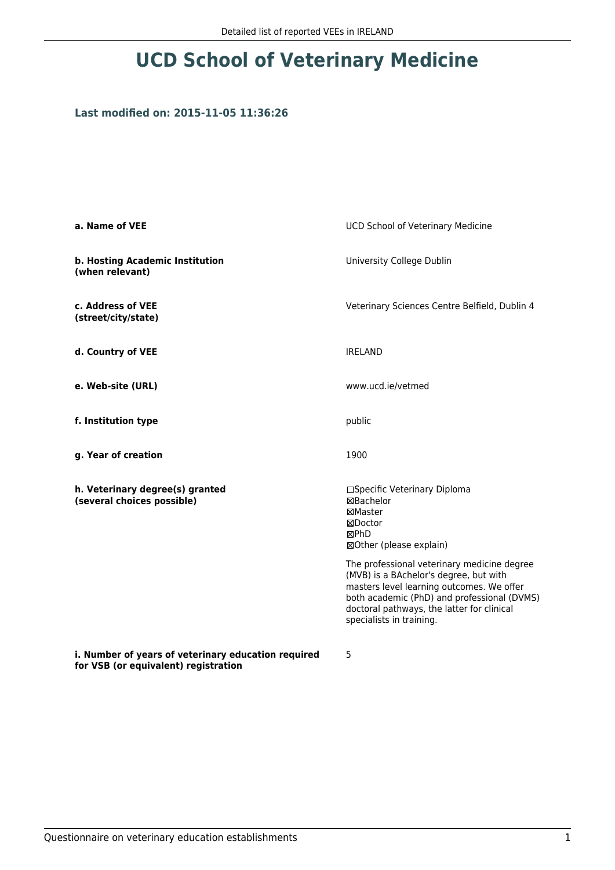## **UCD School of Veterinary Medicine**

## **Last modified on: 2015-11-05 11:36:26**

| a. Name of VEE                                                | UCD School of Veterinary Medicine                                                                                                                                                                            |
|---------------------------------------------------------------|--------------------------------------------------------------------------------------------------------------------------------------------------------------------------------------------------------------|
| b. Hosting Academic Institution<br>(when relevant)            | University College Dublin                                                                                                                                                                                    |
| c. Address of VEE<br>(street/city/state)                      | Veterinary Sciences Centre Belfield, Dublin 4                                                                                                                                                                |
| d. Country of VEE                                             | <b>IRELAND</b>                                                                                                                                                                                               |
| e. Web-site (URL)                                             | www.ucd.ie/vetmed                                                                                                                                                                                            |
| f. Institution type                                           | public                                                                                                                                                                                                       |
| g. Year of creation                                           | 1900                                                                                                                                                                                                         |
| h. Veterinary degree(s) granted<br>(several choices possible) | □Specific Veterinary Diploma<br>⊠Bachelor<br>⊠Master<br>⊠Doctor<br>⊠PhD<br>⊠Other (please explain)<br>The professional veterinary medicine degree                                                            |
|                                                               | (MVB) is a BAchelor's degree, but with<br>masters level learning outcomes. We offer<br>both academic (PhD) and professional (DVMS)<br>doctoral pathways, the latter for clinical<br>specialists in training. |
| i. Number of years of veterinary education required           | 5                                                                                                                                                                                                            |

**for VSB (or equivalent) registration**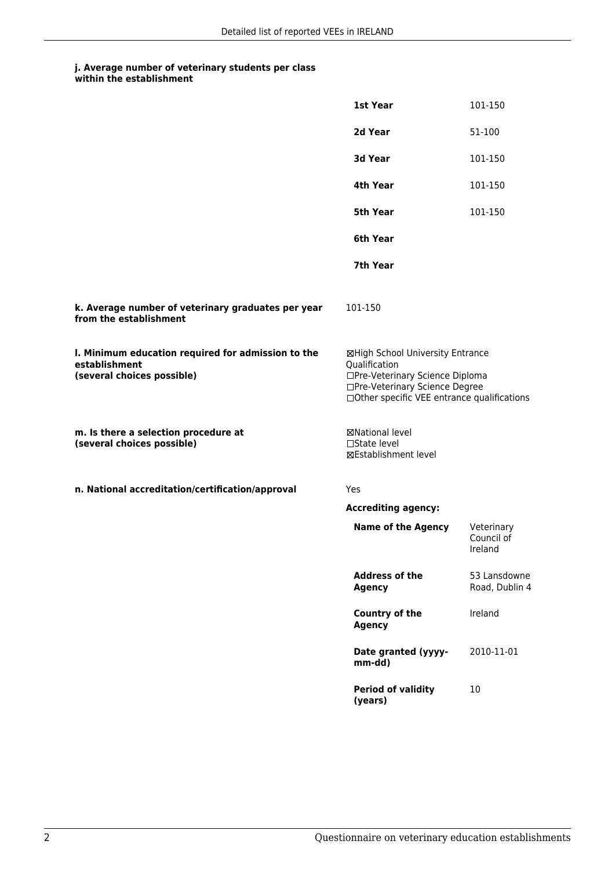## **j. Average number of veterinary students per class within the establishment**

|                                                                                                   | 1st Year                                                                                                                                                              | 101-150                             |
|---------------------------------------------------------------------------------------------------|-----------------------------------------------------------------------------------------------------------------------------------------------------------------------|-------------------------------------|
|                                                                                                   | 2d Year                                                                                                                                                               | 51-100                              |
|                                                                                                   | 3d Year                                                                                                                                                               | 101-150                             |
|                                                                                                   | 4th Year                                                                                                                                                              | 101-150                             |
|                                                                                                   | <b>5th Year</b>                                                                                                                                                       | 101-150                             |
|                                                                                                   | 6th Year                                                                                                                                                              |                                     |
|                                                                                                   | 7th Year                                                                                                                                                              |                                     |
| k. Average number of veterinary graduates per year<br>from the establishment                      | 101-150                                                                                                                                                               |                                     |
| I. Minimum education required for admission to the<br>establishment<br>(several choices possible) | ⊠High School University Entrance<br>Qualification<br>□Pre-Veterinary Science Diploma<br>□Pre-Veterinary Science Degree<br>□Other specific VEE entrance qualifications |                                     |
| m. Is there a selection procedure at<br>(several choices possible)                                | ⊠National level<br>□State level<br>⊠Establishment level                                                                                                               |                                     |
| n. National accreditation/certification/approval                                                  | Yes                                                                                                                                                                   |                                     |
|                                                                                                   | <b>Accrediting agency:</b>                                                                                                                                            |                                     |
|                                                                                                   | <b>Name of the Agency</b>                                                                                                                                             | Veterinary<br>Council of<br>Ireland |
|                                                                                                   | <b>Address of the</b><br><b>Agency</b>                                                                                                                                | 53 Lansdowne<br>Road, Dublin 4      |
|                                                                                                   | <b>Country of the</b><br><b>Agency</b>                                                                                                                                | Ireland                             |
|                                                                                                   | Date granted (yyyy-<br>mm-dd)                                                                                                                                         | 2010-11-01                          |
|                                                                                                   | <b>Period of validity</b><br>(years)                                                                                                                                  | 10                                  |